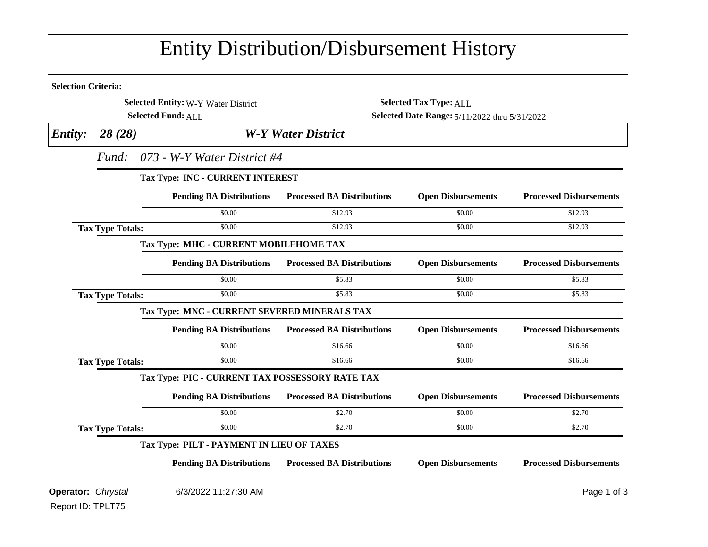## Entity Distribution/Disbursement History

| <b>Selection Criteria:</b>          |                                         |                                                 |                                               |                           |                                |  |  |
|-------------------------------------|-----------------------------------------|-------------------------------------------------|-----------------------------------------------|---------------------------|--------------------------------|--|--|
| Selected Entity: W-Y Water District |                                         |                                                 | <b>Selected Tax Type: ALL</b>                 |                           |                                |  |  |
|                                     |                                         | <b>Selected Fund: ALL</b>                       | Selected Date Range: 5/11/2022 thru 5/31/2022 |                           |                                |  |  |
| <b>Entity:</b>                      | 28(28)                                  |                                                 | <b>W-Y Water District</b>                     |                           |                                |  |  |
|                                     | 073 - W-Y Water District #4<br>Fund:    |                                                 |                                               |                           |                                |  |  |
|                                     | <b>Tax Type: INC - CURRENT INTEREST</b> |                                                 |                                               |                           |                                |  |  |
|                                     |                                         | <b>Pending BA Distributions</b>                 | <b>Processed BA Distributions</b>             | <b>Open Disbursements</b> | <b>Processed Disbursements</b> |  |  |
|                                     |                                         | \$0.00                                          | \$12.93                                       | \$0.00                    | \$12.93                        |  |  |
|                                     | <b>Tax Type Totals:</b>                 | \$0.00                                          | \$12.93                                       | \$0.00                    | \$12.93                        |  |  |
|                                     |                                         | Tax Type: MHC - CURRENT MOBILEHOME TAX          |                                               |                           |                                |  |  |
|                                     |                                         | <b>Pending BA Distributions</b>                 | <b>Processed BA Distributions</b>             | <b>Open Disbursements</b> | <b>Processed Disbursements</b> |  |  |
|                                     |                                         | \$0.00                                          | \$5.83                                        | \$0.00                    | \$5.83                         |  |  |
|                                     | <b>Tax Type Totals:</b>                 | \$0.00                                          | \$5.83                                        | \$0.00                    | \$5.83                         |  |  |
|                                     |                                         | Tax Type: MNC - CURRENT SEVERED MINERALS TAX    |                                               |                           |                                |  |  |
|                                     |                                         | <b>Pending BA Distributions</b>                 | <b>Processed BA Distributions</b>             | <b>Open Disbursements</b> | <b>Processed Disbursements</b> |  |  |
|                                     |                                         | \$0.00                                          | \$16.66                                       | \$0.00                    | \$16.66                        |  |  |
|                                     | <b>Tax Type Totals:</b>                 | \$0.00                                          | \$16.66                                       | \$0.00                    | \$16.66                        |  |  |
|                                     |                                         | Tax Type: PIC - CURRENT TAX POSSESSORY RATE TAX |                                               |                           |                                |  |  |
|                                     |                                         | <b>Pending BA Distributions</b>                 | <b>Processed BA Distributions</b>             | <b>Open Disbursements</b> | <b>Processed Disbursements</b> |  |  |
|                                     |                                         | \$0.00                                          | \$2.70                                        | \$0.00                    | \$2.70                         |  |  |
|                                     | <b>Tax Type Totals:</b>                 | \$0.00                                          | \$2.70                                        | \$0.00                    | \$2.70                         |  |  |
|                                     |                                         | Tax Type: PILT - PAYMENT IN LIEU OF TAXES       |                                               |                           |                                |  |  |
|                                     |                                         | <b>Pending BA Distributions</b>                 | <b>Processed BA Distributions</b>             | <b>Open Disbursements</b> | <b>Processed Disbursements</b> |  |  |
| Operator: Chrystal                  |                                         | 6/3/2022 11:27:30 AM                            |                                               |                           | Page 1 of 3                    |  |  |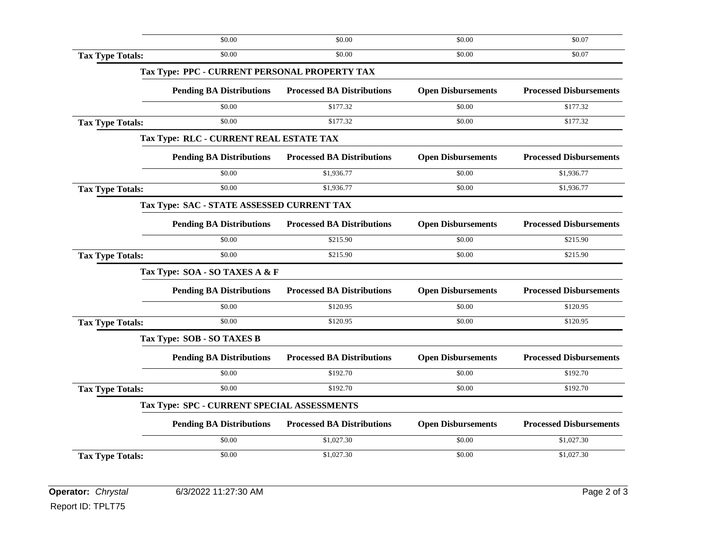|                         | \$0.00                                        | \$0.00                            | \$0.00                    | \$0.07                         |
|-------------------------|-----------------------------------------------|-----------------------------------|---------------------------|--------------------------------|
| <b>Tax Type Totals:</b> | \$0.00                                        | \$0.00                            | \$0.00                    | \$0.07                         |
|                         | Tax Type: PPC - CURRENT PERSONAL PROPERTY TAX |                                   |                           |                                |
|                         | <b>Pending BA Distributions</b>               | <b>Processed BA Distributions</b> | <b>Open Disbursements</b> | <b>Processed Disbursements</b> |
|                         | \$0.00                                        | \$177.32                          | \$0.00                    | \$177.32                       |
| <b>Tax Type Totals:</b> | \$0.00                                        | \$177.32                          | \$0.00                    | \$177.32                       |
|                         | Tax Type: RLC - CURRENT REAL ESTATE TAX       |                                   |                           |                                |
|                         | <b>Pending BA Distributions</b>               | <b>Processed BA Distributions</b> | <b>Open Disbursements</b> | <b>Processed Disbursements</b> |
|                         | \$0.00                                        | \$1,936.77                        | \$0.00                    | \$1,936.77                     |
| <b>Tax Type Totals:</b> | \$0.00                                        | \$1,936.77                        | \$0.00                    | \$1,936.77                     |
|                         | Tax Type: SAC - STATE ASSESSED CURRENT TAX    |                                   |                           |                                |
|                         | <b>Pending BA Distributions</b>               | <b>Processed BA Distributions</b> | <b>Open Disbursements</b> | <b>Processed Disbursements</b> |
|                         | \$0.00                                        | \$215.90                          | \$0.00                    | \$215.90                       |
| <b>Tax Type Totals:</b> | \$0.00                                        | \$215.90                          | \$0.00                    | \$215.90                       |
|                         | Tax Type: SOA - SO TAXES A & F                |                                   |                           |                                |
|                         | <b>Pending BA Distributions</b>               | <b>Processed BA Distributions</b> | <b>Open Disbursements</b> | <b>Processed Disbursements</b> |
|                         | \$0.00                                        | \$120.95                          | \$0.00                    | \$120.95                       |
| <b>Tax Type Totals:</b> | \$0.00                                        | \$120.95                          | \$0.00                    | \$120.95                       |
|                         | Tax Type: SOB - SO TAXES B                    |                                   |                           |                                |
|                         | <b>Pending BA Distributions</b>               | <b>Processed BA Distributions</b> | <b>Open Disbursements</b> | <b>Processed Disbursements</b> |
|                         | \$0.00                                        | \$192.70                          | \$0.00                    | \$192.70                       |
| <b>Tax Type Totals:</b> | \$0.00                                        | \$192.70                          | \$0.00                    | \$192.70                       |
|                         | Tax Type: SPC - CURRENT SPECIAL ASSESSMENTS   |                                   |                           |                                |
|                         | <b>Pending BA Distributions</b>               | <b>Processed BA Distributions</b> | <b>Open Disbursements</b> | <b>Processed Disbursements</b> |
|                         | \$0.00                                        | \$1,027.30                        | \$0.00                    | \$1,027.30                     |
|                         |                                               |                                   |                           | \$1,027.30                     |